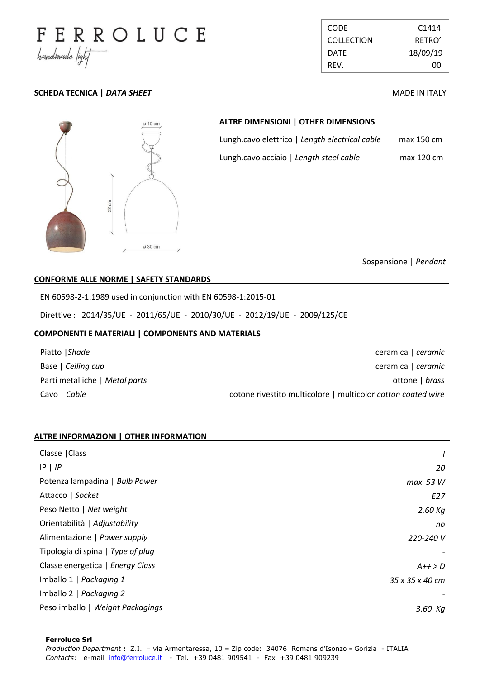

CODE C1414 COLLECTION RETRO' DATE 18/09/19 REV. 00

# **SCHEDA TECNICA |** *DATA SHEET* **MADE IN ITALY**



## **ALTRE DIMENSIONI | OTHER DIMENSIONS**

Lungh.cavo elettrico | *Length electrical cable* max 150 cm Lungh.cavo acciaio | *Length steel cable* max 120 cm

Sospensione | *Pendant*

## **CONFORME ALLE NORME | SAFETY STANDARDS .**

EN 60598-2-1:1989 used in conjunction with EN 60598-1:2015-01

Direttive : 2014/35/UE - 2011/65/UE - 2010/30/UE - 2012/19/UE - 2009/125/CE

#### **COMPONENTI E MATERIALI | COMPONENTS AND MATERIALS .**

| Piatto   Shade                 | ceramica   ceramic                                           |
|--------------------------------|--------------------------------------------------------------|
| Base   Ceiling cup             | ceramica   ceramic                                           |
| Parti metalliche   Metal parts | ottone   brass                                               |
| Cavo   Cable                   | cotone rivestito multicolore   multicolor cotton coated wire |

. .

## **ALTRE INFORMAZIONI | OTHER INFORMATION .**

| Classe   Class                    | $\prime$        |
|-----------------------------------|-----------------|
| $IP$   $IP$                       | 20              |
| Potenza lampadina   Bulb Power    | max 53 W        |
| Attacco   Socket                  | E27             |
| Peso Netto   Net weight           | $2.60$ Kg       |
| Orientabilità   Adjustability     | no              |
| Alimentazione   Power supply      | 220-240 V       |
| Tipologia di spina   Type of plug |                 |
| Classe energetica   Energy Class  | $A++>D$         |
| Imballo 1   Packaging 1           | 35 x 35 x 40 cm |
| Imballo 2   Packaging 2           |                 |
| Peso imballo   Weight Packagings  | $3.60$ Kg       |